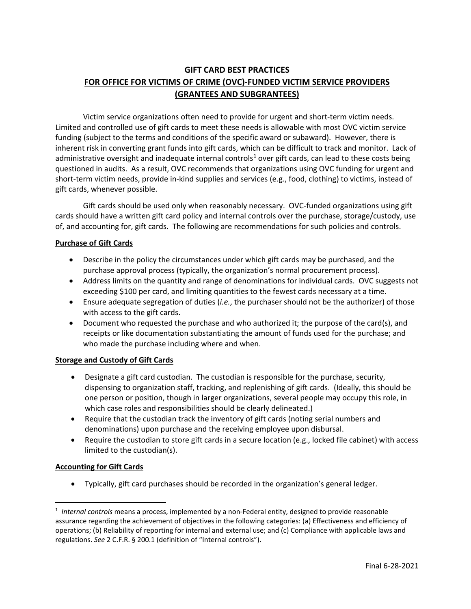# **GIFT CARD BEST PRACTICES FOR OFFICE FOR VICTIMS OF CRIME (OVC)-FUNDED VICTIM SERVICE PROVIDERS (GRANTEES AND SUBGRANTEES)**

Victim service organizations often need to provide for urgent and short-term victim needs. Limited and controlled use of gift cards to meet these needs is allowable with most OVC victim service funding (subject to the terms and conditions of the specific award or subaward). However, there is inherent risk in converting grant funds into gift cards, which can be difficult to track and monitor. Lack of administrative oversight and inadequate internal controls<sup>[1](#page-0-0)</sup> over gift cards, can lead to these costs being questioned in audits. As a result, OVC recommends that organizations using OVC funding for urgent and short-term victim needs, provide in-kind supplies and services (e.g., food, clothing) to victims, instead of gift cards, whenever possible.

Gift cards should be used only when reasonably necessary. OVC-funded organizations using gift cards should have a written gift card policy and internal controls over the purchase, storage/custody, use of, and accounting for, gift cards. The following are recommendations for such policies and controls.

### **Purchase of Gift Cards**

- Describe in the policy the circumstances under which gift cards may be purchased, and the purchase approval process (typically, the organization's normal procurement process).
- Address limits on the quantity and range of denominations for individual cards. OVC suggests not exceeding \$100 per card, and limiting quantities to the fewest cards necessary at a time.
- Ensure adequate segregation of duties (*i.e.*, the purchaser should not be the authorizer) of those with access to the gift cards.
- Document who requested the purchase and who authorized it; the purpose of the card(s), and receipts or like documentation substantiating the amount of funds used for the purchase; and who made the purchase including where and when.

### **Storage and Custody of Gift Cards**

- Designate a gift card custodian. The custodian is responsible for the purchase, security, dispensing to organization staff, tracking, and replenishing of gift cards. (Ideally, this should be one person or position, though in larger organizations, several people may occupy this role, in which case roles and responsibilities should be clearly delineated.)
- Require that the custodian track the inventory of gift cards (noting serial numbers and denominations) upon purchase and the receiving employee upon disbursal.
- Require the custodian to store gift cards in a secure location (e.g., locked file cabinet) with access limited to the custodian(s).

### **Accounting for Gift Cards**

l

• Typically, gift card purchases should be recorded in the organization's general ledger.

<span id="page-0-0"></span><sup>1</sup> *Internal controls* means a process, implemented by a non-Federal entity, designed to provide reasonable assurance regarding the achievement of objectives in the following categories: (a) Effectiveness and efficiency of operations; (b) Reliability of reporting for internal and external use; and (c) Compliance with applicable laws and regulations. *See* 2 C.F.R. § 200.1 (definition of "Internal controls").